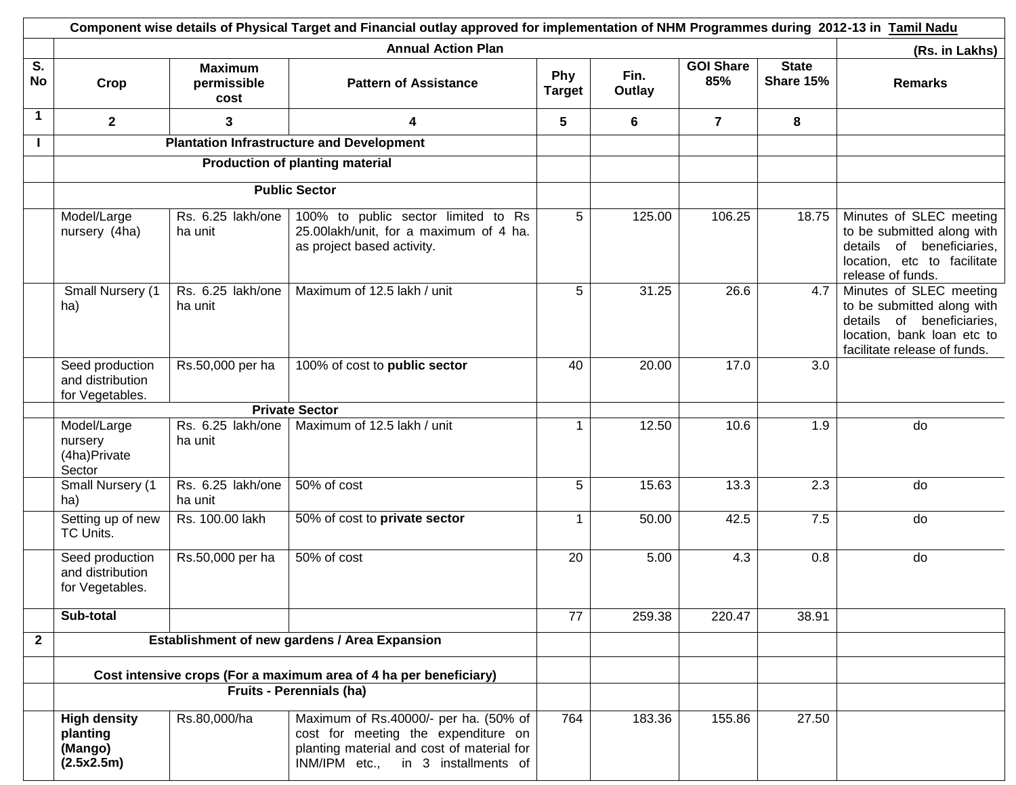|              |                                                          |                                       | Component wise details of Physical Target and Financial outlay approved for implementation of NHM Programmes during 2012-13 in Tamil Nadu                           |                      |                |                         |                           |                                                                                                                                                  |
|--------------|----------------------------------------------------------|---------------------------------------|---------------------------------------------------------------------------------------------------------------------------------------------------------------------|----------------------|----------------|-------------------------|---------------------------|--------------------------------------------------------------------------------------------------------------------------------------------------|
|              |                                                          |                                       | <b>Annual Action Plan</b>                                                                                                                                           |                      |                |                         |                           | (Rs. in Lakhs)                                                                                                                                   |
| S.<br>No     | Crop                                                     | <b>Maximum</b><br>permissible<br>cost | <b>Pattern of Assistance</b>                                                                                                                                        | Phy<br><b>Target</b> | Fin.<br>Outlay | <b>GOI Share</b><br>85% | <b>State</b><br>Share 15% | <b>Remarks</b>                                                                                                                                   |
| $\mathbf 1$  | $\overline{2}$                                           | 3                                     | 4                                                                                                                                                                   | 5                    | 6              | $\overline{7}$          | 8                         |                                                                                                                                                  |
|              |                                                          |                                       | <b>Plantation Infrastructure and Development</b>                                                                                                                    |                      |                |                         |                           |                                                                                                                                                  |
|              |                                                          |                                       | <b>Production of planting material</b>                                                                                                                              |                      |                |                         |                           |                                                                                                                                                  |
|              |                                                          |                                       | <b>Public Sector</b>                                                                                                                                                |                      |                |                         |                           |                                                                                                                                                  |
|              | Model/Large<br>nursery (4ha)                             | Rs. 6.25 lakh/one<br>ha unit          | 100% to public sector limited to Rs<br>25.00lakh/unit, for a maximum of 4 ha.<br>as project based activity.                                                         | 5                    | 125.00         | 106.25                  | 18.75                     | Minutes of SLEC meeting<br>to be submitted along with<br>details of beneficiaries,<br>location, etc to facilitate<br>release of funds.           |
|              | Small Nursery (1<br>ha)                                  | Rs. 6.25 lakh/one<br>ha unit          | Maximum of 12.5 lakh / unit                                                                                                                                         | 5                    | 31.25          | 26.6                    | 4.7                       | Minutes of SLEC meeting<br>to be submitted along with<br>details of beneficiaries,<br>location, bank loan etc to<br>facilitate release of funds. |
|              | Seed production<br>and distribution<br>for Vegetables.   | Rs.50,000 per ha                      | 100% of cost to public sector                                                                                                                                       | 40                   | 20.00          | 17.0                    | 3.0                       |                                                                                                                                                  |
|              |                                                          |                                       | <b>Private Sector</b>                                                                                                                                               |                      |                |                         |                           |                                                                                                                                                  |
|              | Model/Large<br>nursery<br>(4ha)Private<br>Sector         | Rs. 6.25 lakh/one<br>ha unit          | Maximum of 12.5 lakh / unit                                                                                                                                         | $\mathbf{1}$         | 12.50          | 10.6                    | 1.9                       | do                                                                                                                                               |
|              | Small Nursery (1<br>ha)                                  | Rs. 6.25 lakh/one<br>ha unit          | 50% of cost                                                                                                                                                         | 5                    | 15.63          | 13.3                    | 2.3                       | do                                                                                                                                               |
|              | Setting up of new<br>TC Units.                           | Rs. 100.00 lakh                       | 50% of cost to private sector                                                                                                                                       | $\mathbf{1}$         | 50.00          | 42.5                    | 7.5                       | do                                                                                                                                               |
|              | Seed production<br>and distribution<br>for Vegetables.   | Rs.50,000 per ha                      | 50% of cost                                                                                                                                                         | 20                   | 5.00           | 4.3                     | 0.8                       | do                                                                                                                                               |
|              | Sub-total                                                |                                       |                                                                                                                                                                     | 77                   | 259.38         | 220.47                  | 38.91                     |                                                                                                                                                  |
| $\mathbf{2}$ |                                                          |                                       | Establishment of new gardens / Area Expansion                                                                                                                       |                      |                |                         |                           |                                                                                                                                                  |
|              |                                                          |                                       | Cost intensive crops (For a maximum area of 4 ha per beneficiary)                                                                                                   |                      |                |                         |                           |                                                                                                                                                  |
|              |                                                          |                                       | <b>Fruits - Perennials (ha)</b>                                                                                                                                     |                      |                |                         |                           |                                                                                                                                                  |
|              | <b>High density</b><br>planting<br>(Mango)<br>(2.5x2.5m) | Rs.80,000/ha                          | Maximum of Rs.40000/- per ha. (50% of<br>cost for meeting the expenditure on<br>planting material and cost of material for<br>in 3 installments of<br>INM/IPM etc., | 764                  | 183.36         | 155.86                  | 27.50                     |                                                                                                                                                  |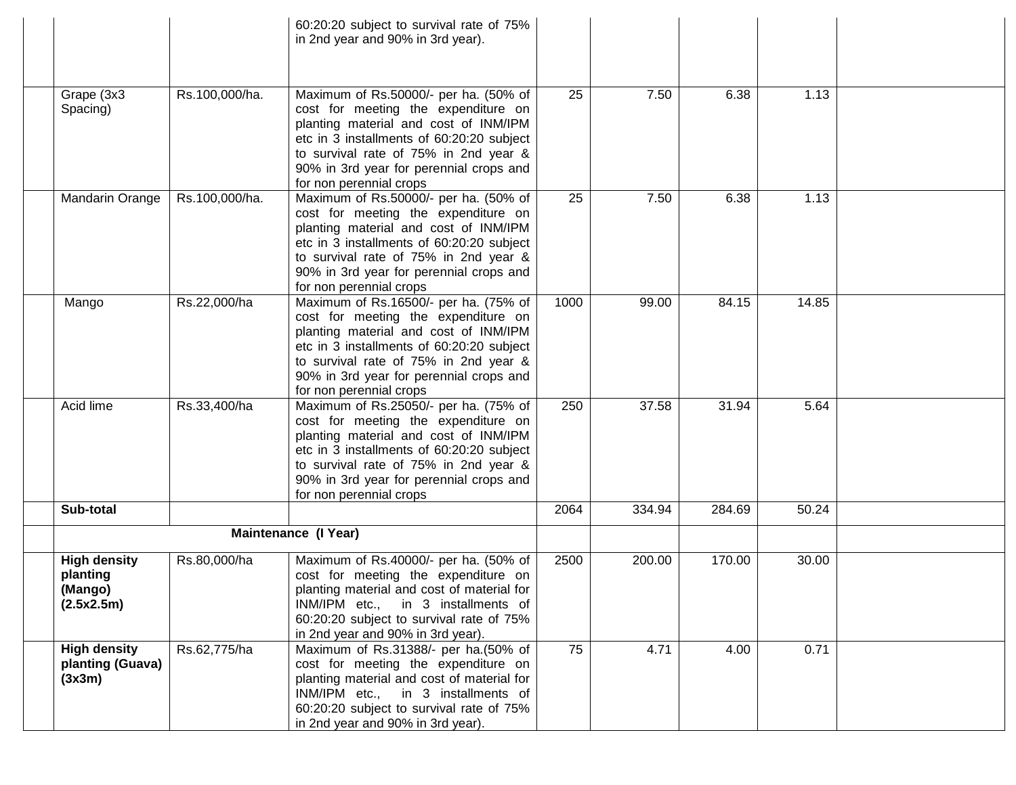|                                                          |                | 60:20:20 subject to survival rate of 75%<br>in 2nd year and 90% in 3rd year).                                                                                                                                                                                                     |                 |        |        |       |  |
|----------------------------------------------------------|----------------|-----------------------------------------------------------------------------------------------------------------------------------------------------------------------------------------------------------------------------------------------------------------------------------|-----------------|--------|--------|-------|--|
| Grape (3x3<br>Spacing)                                   | Rs.100,000/ha. | Maximum of Rs.50000/- per ha. (50% of<br>cost for meeting the expenditure on<br>planting material and cost of INM/IPM<br>etc in 3 installments of 60:20:20 subject<br>to survival rate of 75% in 2nd year &<br>90% in 3rd year for perennial crops and<br>for non perennial crops | 25              | 7.50   | 6.38   | 1.13  |  |
| Mandarin Orange                                          | Rs.100,000/ha. | Maximum of Rs.50000/- per ha. (50% of<br>cost for meeting the expenditure on<br>planting material and cost of INM/IPM<br>etc in 3 installments of 60:20:20 subject<br>to survival rate of 75% in 2nd year &<br>90% in 3rd year for perennial crops and<br>for non perennial crops | 25              | 7.50   | 6.38   | 1.13  |  |
| Mango                                                    | Rs.22,000/ha   | Maximum of Rs.16500/- per ha. (75% of<br>cost for meeting the expenditure on<br>planting material and cost of INM/IPM<br>etc in 3 installments of 60:20:20 subject<br>to survival rate of 75% in 2nd year &<br>90% in 3rd year for perennial crops and<br>for non perennial crops | 1000            | 99.00  | 84.15  | 14.85 |  |
| Acid lime                                                | Rs.33,400/ha   | Maximum of Rs.25050/- per ha. (75% of<br>cost for meeting the expenditure on<br>planting material and cost of INM/IPM<br>etc in 3 installments of 60:20:20 subject<br>to survival rate of 75% in 2nd year &<br>90% in 3rd year for perennial crops and<br>for non perennial crops | 250             | 37.58  | 31.94  | 5.64  |  |
| Sub-total                                                |                |                                                                                                                                                                                                                                                                                   | 2064            | 334.94 | 284.69 | 50.24 |  |
|                                                          |                | Maintenance (I Year)                                                                                                                                                                                                                                                              |                 |        |        |       |  |
| <b>High density</b><br>planting<br>(Mango)<br>(2.5x2.5m) | Rs.80,000/ha   | Maximum of Rs.40000/- per ha. (50% of<br>cost for meeting the expenditure on<br>planting material and cost of material for<br>INM/IPM etc., in 3 installments of<br>60:20:20 subject to survival rate of 75%<br>in 2nd year and 90% in 3rd year).                                 | 2500            | 200.00 | 170.00 | 30.00 |  |
| <b>High density</b><br>planting (Guava)<br>(3x3m)        | Rs.62,775/ha   | Maximum of Rs.31388/- per ha.(50% of<br>cost for meeting the expenditure on<br>planting material and cost of material for<br>INM/IPM etc., in 3 installments of<br>60:20:20 subject to survival rate of 75%<br>in 2nd year and 90% in 3rd year).                                  | $\overline{75}$ | 4.71   | 4.00   | 0.71  |  |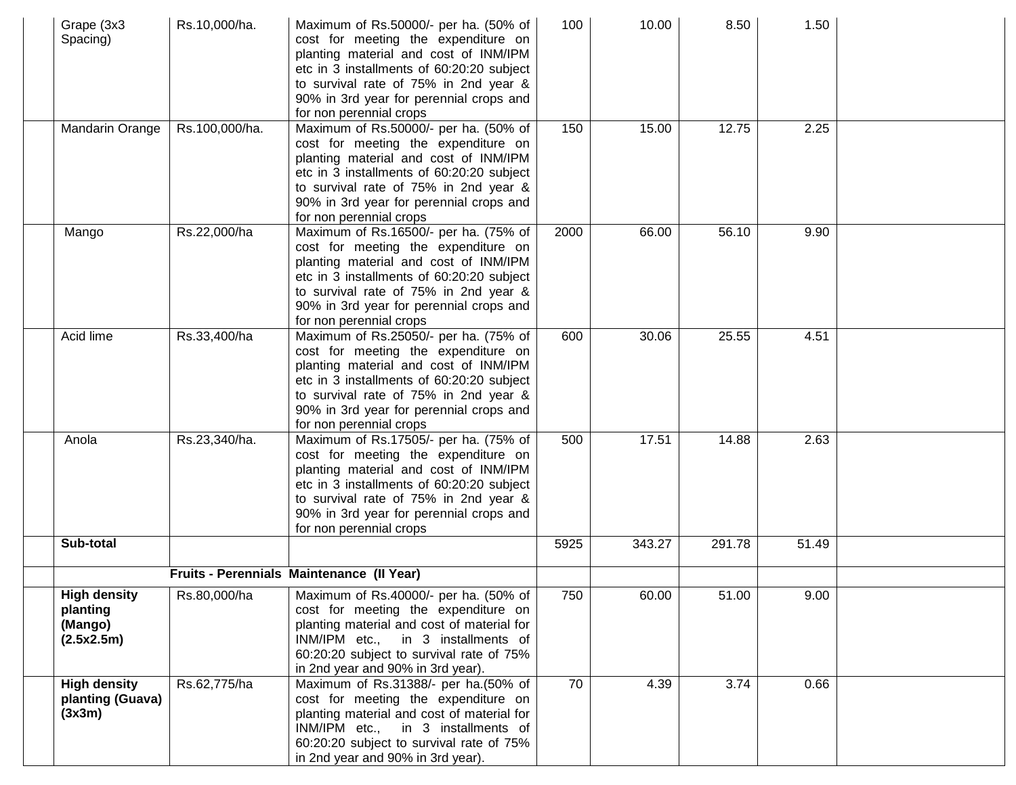| Grape (3x3<br>Spacing)                                   | Rs.10,000/ha.  | Maximum of Rs.50000/- per ha. (50% of<br>cost for meeting the expenditure on<br>planting material and cost of INM/IPM<br>etc in 3 installments of 60:20:20 subject<br>to survival rate of 75% in 2nd year &<br>90% in 3rd year for perennial crops and<br>for non perennial crops | 100  | 10.00  | 8.50   | 1.50  |  |
|----------------------------------------------------------|----------------|-----------------------------------------------------------------------------------------------------------------------------------------------------------------------------------------------------------------------------------------------------------------------------------|------|--------|--------|-------|--|
| Mandarin Orange                                          | Rs.100,000/ha. | Maximum of Rs.50000/- per ha. (50% of<br>cost for meeting the expenditure on<br>planting material and cost of INM/IPM<br>etc in 3 installments of 60:20:20 subject<br>to survival rate of 75% in 2nd year &<br>90% in 3rd year for perennial crops and<br>for non perennial crops | 150  | 15.00  | 12.75  | 2.25  |  |
| Mango                                                    | Rs.22,000/ha   | Maximum of Rs.16500/- per ha. (75% of<br>cost for meeting the expenditure on<br>planting material and cost of INM/IPM<br>etc in 3 installments of 60:20:20 subject<br>to survival rate of 75% in 2nd year &<br>90% in 3rd year for perennial crops and<br>for non perennial crops | 2000 | 66.00  | 56.10  | 9.90  |  |
| Acid lime                                                | Rs.33,400/ha   | Maximum of Rs.25050/- per ha. (75% of<br>cost for meeting the expenditure on<br>planting material and cost of INM/IPM<br>etc in 3 installments of 60:20:20 subject<br>to survival rate of 75% in 2nd year &<br>90% in 3rd year for perennial crops and<br>for non perennial crops | 600  | 30.06  | 25.55  | 4.51  |  |
| Anola                                                    | Rs.23,340/ha.  | Maximum of Rs.17505/- per ha. (75% of<br>cost for meeting the expenditure on<br>planting material and cost of INM/IPM<br>etc in 3 installments of 60:20:20 subject<br>to survival rate of 75% in 2nd year &<br>90% in 3rd year for perennial crops and<br>for non perennial crops | 500  | 17.51  | 14.88  | 2.63  |  |
| Sub-total                                                |                |                                                                                                                                                                                                                                                                                   | 5925 | 343.27 | 291.78 | 51.49 |  |
|                                                          |                | Fruits - Perennials Maintenance (Il Year)                                                                                                                                                                                                                                         |      |        |        |       |  |
| <b>High density</b><br>planting<br>(Mango)<br>(2.5x2.5m) | Rs.80,000/ha   | Maximum of Rs.40000/- per ha. (50% of<br>cost for meeting the expenditure on<br>planting material and cost of material for<br>INM/IPM etc., in 3 installments of<br>60:20:20 subject to survival rate of 75%<br>in 2nd year and 90% in 3rd year).                                 | 750  | 60.00  | 51.00  | 9.00  |  |
| <b>High density</b><br>planting (Guava)<br>(3x3m)        | Rs.62,775/ha   | Maximum of Rs.31388/- per ha.(50% of<br>cost for meeting the expenditure on<br>planting material and cost of material for<br>INM/IPM etc., in 3 installments of<br>60:20:20 subject to survival rate of 75%<br>in 2nd year and 90% in 3rd year).                                  | 70   | 4.39   | 3.74   | 0.66  |  |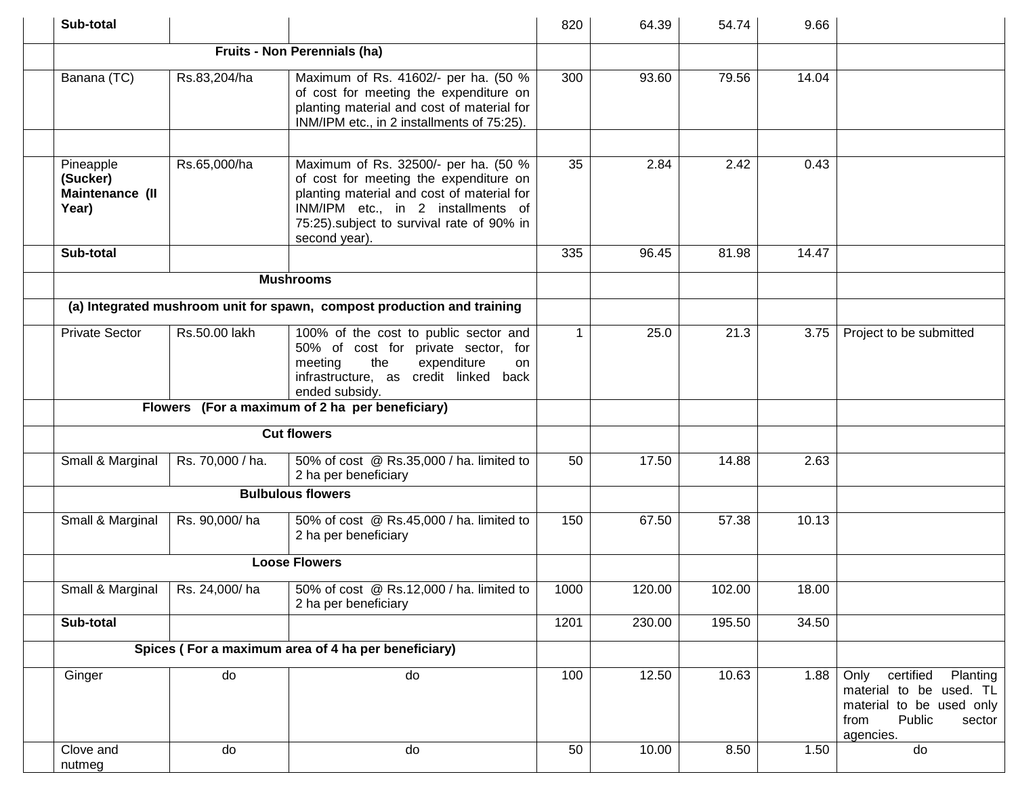| Sub-total                                         |                                  |                                                                                                                                                                                                                                  | 820          | 64.39  | 54.74  | 9.66  |                                                                                                                               |
|---------------------------------------------------|----------------------------------|----------------------------------------------------------------------------------------------------------------------------------------------------------------------------------------------------------------------------------|--------------|--------|--------|-------|-------------------------------------------------------------------------------------------------------------------------------|
|                                                   |                                  | Fruits - Non Perennials (ha)                                                                                                                                                                                                     |              |        |        |       |                                                                                                                               |
| Banana (TC)                                       | Rs.83,204/ha                     | Maximum of Rs. 41602/- per ha. (50 %<br>of cost for meeting the expenditure on<br>planting material and cost of material for<br>INM/IPM etc., in 2 installments of 75:25).                                                       | 300          | 93.60  | 79.56  | 14.04 |                                                                                                                               |
|                                                   |                                  |                                                                                                                                                                                                                                  |              |        |        |       |                                                                                                                               |
| Pineapple<br>(Sucker)<br>Maintenance (II<br>Year) | Rs.65,000/ha                     | Maximum of Rs. 32500/- per ha. (50 %<br>of cost for meeting the expenditure on<br>planting material and cost of material for<br>INM/IPM etc., in 2 installments of<br>75:25).subject to survival rate of 90% in<br>second year). | 35           | 2.84   | 2.42   | 0.43  |                                                                                                                               |
| Sub-total                                         |                                  |                                                                                                                                                                                                                                  | 335          | 96.45  | 81.98  | 14.47 |                                                                                                                               |
|                                                   |                                  | <b>Mushrooms</b>                                                                                                                                                                                                                 |              |        |        |       |                                                                                                                               |
|                                                   |                                  | (a) Integrated mushroom unit for spawn, compost production and training                                                                                                                                                          |              |        |        |       |                                                                                                                               |
| <b>Private Sector</b>                             | Rs.50.00 lakh                    | 100% of the cost to public sector and<br>50% of cost for private sector, for<br>expenditure<br>meeting<br>the<br>on<br>infrastructure, as credit linked back<br>ended subsidy.                                                   | $\mathbf{1}$ | 25.0   | 21.3   | 3.75  | Project to be submitted                                                                                                       |
|                                                   |                                  | Flowers (For a maximum of 2 ha per beneficiary)                                                                                                                                                                                  |              |        |        |       |                                                                                                                               |
|                                                   |                                  | <b>Cut flowers</b>                                                                                                                                                                                                               |              |        |        |       |                                                                                                                               |
| Small & Marginal                                  | Rs. 70,000 / ha.                 | 50% of cost @ Rs.35,000 / ha. limited to<br>2 ha per beneficiary                                                                                                                                                                 | 50           | 17.50  | 14.88  | 2.63  |                                                                                                                               |
|                                                   |                                  | <b>Bulbulous flowers</b>                                                                                                                                                                                                         |              |        |        |       |                                                                                                                               |
| Small & Marginal                                  | Rs. 90,000/ha                    | 50% of cost @ Rs.45,000 / ha. limited to<br>2 ha per beneficiary                                                                                                                                                                 | 150          | 67.50  | 57.38  | 10.13 |                                                                                                                               |
|                                                   |                                  | <b>Loose Flowers</b>                                                                                                                                                                                                             |              |        |        |       |                                                                                                                               |
|                                                   | Small & Marginal   Rs. 24,000/ha | 50% of cost @ Rs.12,000 / ha. limited to<br>2 ha per beneficiary                                                                                                                                                                 | 1000         | 120.00 | 102.00 | 18.00 |                                                                                                                               |
| Sub-total                                         |                                  |                                                                                                                                                                                                                                  | 1201         | 230.00 | 195.50 | 34.50 |                                                                                                                               |
|                                                   |                                  | Spices (For a maximum area of 4 ha per beneficiary)                                                                                                                                                                              |              |        |        |       |                                                                                                                               |
| Ginger                                            | do                               | do                                                                                                                                                                                                                               | 100          | 12.50  | 10.63  | 1.88  | certified<br>Only<br>Planting<br>material to be used. TL<br>material to be used only<br>Public<br>from<br>sector<br>agencies. |
| Clove and<br>nutmeg                               | do                               | do                                                                                                                                                                                                                               | 50           | 10.00  | 8.50   | 1.50  | do                                                                                                                            |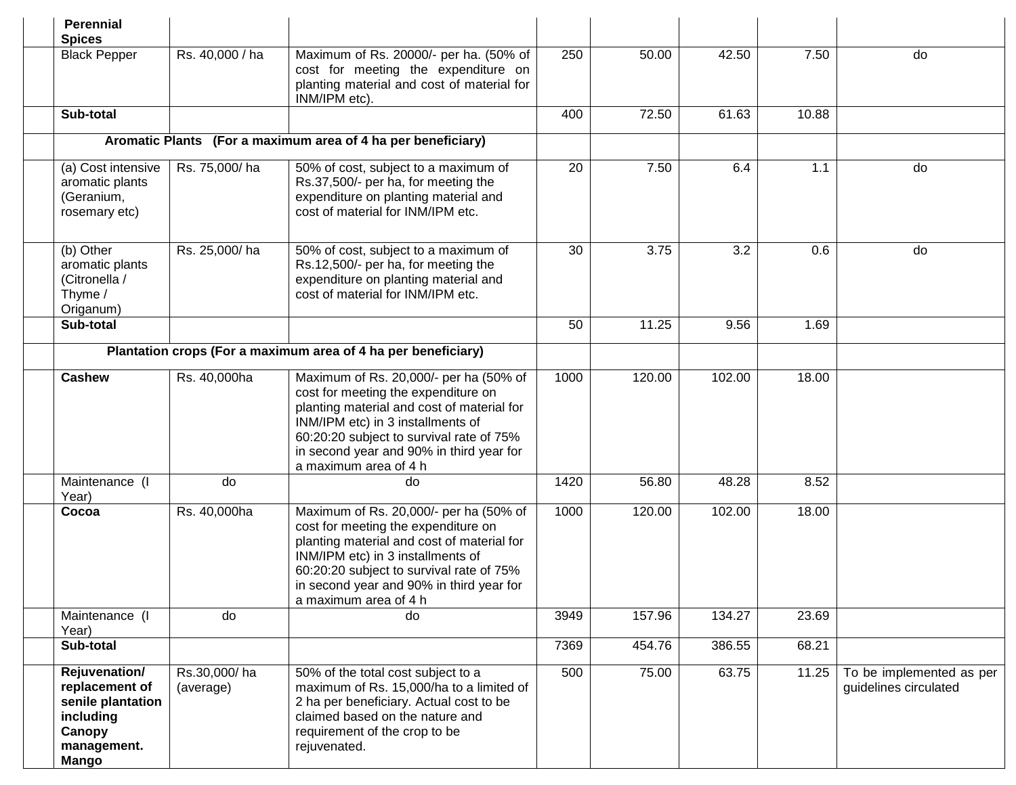| <b>Perennial</b><br><b>Spices</b>                                                                          |                           |                                                                                                                                                                                                                                                                                   |      |        |        |       |                                                   |
|------------------------------------------------------------------------------------------------------------|---------------------------|-----------------------------------------------------------------------------------------------------------------------------------------------------------------------------------------------------------------------------------------------------------------------------------|------|--------|--------|-------|---------------------------------------------------|
| <b>Black Pepper</b>                                                                                        | Rs. 40,000 / ha           | Maximum of Rs. 20000/- per ha. (50% of<br>cost for meeting the expenditure on<br>planting material and cost of material for<br>INM/IPM etc).                                                                                                                                      | 250  | 50.00  | 42.50  | 7.50  | do                                                |
| Sub-total                                                                                                  |                           |                                                                                                                                                                                                                                                                                   | 400  | 72.50  | 61.63  | 10.88 |                                                   |
|                                                                                                            |                           | Aromatic Plants (For a maximum area of 4 ha per beneficiary)                                                                                                                                                                                                                      |      |        |        |       |                                                   |
| (a) Cost intensive<br>aromatic plants<br>(Geranium,<br>rosemary etc)                                       | Rs. 75,000/ha             | 50% of cost, subject to a maximum of<br>Rs.37,500/- per ha, for meeting the<br>expenditure on planting material and<br>cost of material for INM/IPM etc.                                                                                                                          | 20   | 7.50   | 6.4    | 1.1   | do                                                |
| (b) Other<br>aromatic plants<br>(Citronella /<br>Thyme /<br>Origanum)                                      | Rs. 25,000/ha             | 50% of cost, subject to a maximum of<br>Rs.12,500/- per ha, for meeting the<br>expenditure on planting material and<br>cost of material for INM/IPM etc.                                                                                                                          | 30   | 3.75   | 3.2    | 0.6   | do                                                |
| Sub-total                                                                                                  |                           |                                                                                                                                                                                                                                                                                   | 50   | 11.25  | 9.56   | 1.69  |                                                   |
|                                                                                                            |                           | Plantation crops (For a maximum area of 4 ha per beneficiary)                                                                                                                                                                                                                     |      |        |        |       |                                                   |
| <b>Cashew</b>                                                                                              | Rs. 40,000ha              | Maximum of Rs. 20,000/- per ha (50% of<br>cost for meeting the expenditure on<br>planting material and cost of material for<br>INM/IPM etc) in 3 installments of<br>60:20:20 subject to survival rate of 75%<br>in second year and 90% in third year for<br>a maximum area of 4 h | 1000 | 120.00 | 102.00 | 18.00 |                                                   |
| Maintenance (I<br>Year)                                                                                    | do                        | do                                                                                                                                                                                                                                                                                | 1420 | 56.80  | 48.28  | 8.52  |                                                   |
| Cocoa                                                                                                      | Rs. 40,000ha              | Maximum of Rs. 20,000/- per ha (50% of<br>cost for meeting the expenditure on<br>planting material and cost of material for<br>INM/IPM etc) in 3 installments of<br>60:20:20 subject to survival rate of 75%<br>in second year and 90% in third year for<br>a maximum area of 4 h | 1000 | 120.00 | 102.00 | 18.00 |                                                   |
| Maintenance (I<br>Year)                                                                                    | do                        | do                                                                                                                                                                                                                                                                                | 3949 | 157.96 | 134.27 | 23.69 |                                                   |
| Sub-total                                                                                                  |                           |                                                                                                                                                                                                                                                                                   | 7369 | 454.76 | 386.55 | 68.21 |                                                   |
| Rejuvenation/<br>replacement of<br>senile plantation<br>including<br>Canopy<br>management.<br><b>Mango</b> | Rs.30,000/ha<br>(average) | 50% of the total cost subject to a<br>maximum of Rs. 15,000/ha to a limited of<br>2 ha per beneficiary. Actual cost to be<br>claimed based on the nature and<br>requirement of the crop to be<br>rejuvenated.                                                                     | 500  | 75.00  | 63.75  | 11.25 | To be implemented as per<br>guidelines circulated |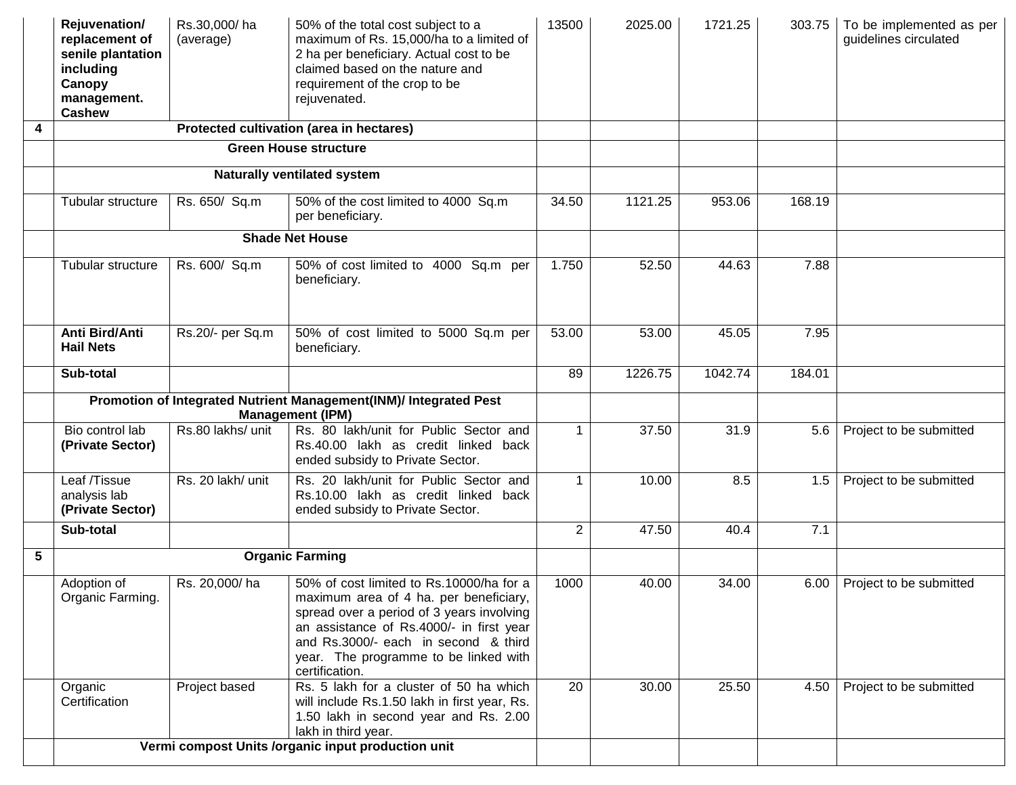|   | Rejuvenation/<br>replacement of<br>senile plantation<br>including<br>Canopy<br>management.<br><b>Cashew</b> | Rs.30,000/ha<br>(average) | 50% of the total cost subject to a<br>maximum of Rs. 15,000/ha to a limited of<br>2 ha per beneficiary. Actual cost to be<br>claimed based on the nature and<br>requirement of the crop to be<br>rejuvenated.                                                                  | 13500          | 2025.00 | 1721.25 | 303.75 | To be implemented as per<br>guidelines circulated |
|---|-------------------------------------------------------------------------------------------------------------|---------------------------|--------------------------------------------------------------------------------------------------------------------------------------------------------------------------------------------------------------------------------------------------------------------------------|----------------|---------|---------|--------|---------------------------------------------------|
| 4 |                                                                                                             |                           | Protected cultivation (area in hectares)                                                                                                                                                                                                                                       |                |         |         |        |                                                   |
|   |                                                                                                             |                           | <b>Green House structure</b>                                                                                                                                                                                                                                                   |                |         |         |        |                                                   |
|   |                                                                                                             |                           | <b>Naturally ventilated system</b>                                                                                                                                                                                                                                             |                |         |         |        |                                                   |
|   | Tubular structure                                                                                           | Rs. 650/ Sq.m             | 50% of the cost limited to 4000 Sq.m<br>per beneficiary.                                                                                                                                                                                                                       | 34.50          | 1121.25 | 953.06  | 168.19 |                                                   |
|   |                                                                                                             |                           | <b>Shade Net House</b>                                                                                                                                                                                                                                                         |                |         |         |        |                                                   |
|   | Tubular structure                                                                                           | Rs. 600/ Sq.m             | 50% of cost limited to 4000 Sq.m per<br>beneficiary.                                                                                                                                                                                                                           | 1.750          | 52.50   | 44.63   | 7.88   |                                                   |
|   | Anti Bird/Anti<br><b>Hail Nets</b>                                                                          | Rs.20/- per Sq.m          | 50% of cost limited to 5000 Sq.m per<br>beneficiary.                                                                                                                                                                                                                           | 53.00          | 53.00   | 45.05   | 7.95   |                                                   |
|   | Sub-total                                                                                                   |                           |                                                                                                                                                                                                                                                                                | 89             | 1226.75 | 1042.74 | 184.01 |                                                   |
|   |                                                                                                             |                           | Promotion of Integrated Nutrient Management(INM)/ Integrated Pest<br><b>Management (IPM)</b>                                                                                                                                                                                   |                |         |         |        |                                                   |
|   | Bio control lab<br>(Private Sector)                                                                         | Rs.80 lakhs/ unit         | Rs. 80 lakh/unit for Public Sector and<br>Rs.40.00 lakh as credit linked back<br>ended subsidy to Private Sector.                                                                                                                                                              | $\mathbf{1}$   | 37.50   | 31.9    | 5.6    | Project to be submitted                           |
|   | Leaf /Tissue<br>analysis lab<br>(Private Sector)                                                            | Rs. 20 lakh/ unit         | Rs. 20 lakh/unit for Public Sector and<br>Rs.10.00 lakh as credit linked back<br>ended subsidy to Private Sector.                                                                                                                                                              | $\mathbf{1}$   | 10.00   | 8.5     | 1.5    | Project to be submitted                           |
|   | Sub-total                                                                                                   |                           |                                                                                                                                                                                                                                                                                | $\overline{2}$ | 47.50   | 40.4    | 7.1    |                                                   |
| 5 |                                                                                                             |                           | <b>Organic Farming</b>                                                                                                                                                                                                                                                         |                |         |         |        |                                                   |
|   | Adoption of<br>Organic Farming.                                                                             | Rs. 20,000/ha             | 50% of cost limited to Rs.10000/ha for a<br>maximum area of 4 ha. per beneficiary,<br>spread over a period of 3 years involving<br>an assistance of Rs.4000/- in first year<br>and Rs.3000/- each in second & third<br>year. The programme to be linked with<br>certification. | 1000           | 40.00   | 34.00   | 6.00   | Project to be submitted                           |
|   | Organic<br>Certification                                                                                    | Project based             | Rs. 5 lakh for a cluster of 50 ha which<br>will include Rs.1.50 lakh in first year, Rs.<br>1.50 lakh in second year and Rs. 2.00<br>lakh in third year.                                                                                                                        | 20             | 30.00   | 25.50   | 4.50   | Project to be submitted                           |
|   |                                                                                                             |                           | Vermi compost Units /organic input production unit                                                                                                                                                                                                                             |                |         |         |        |                                                   |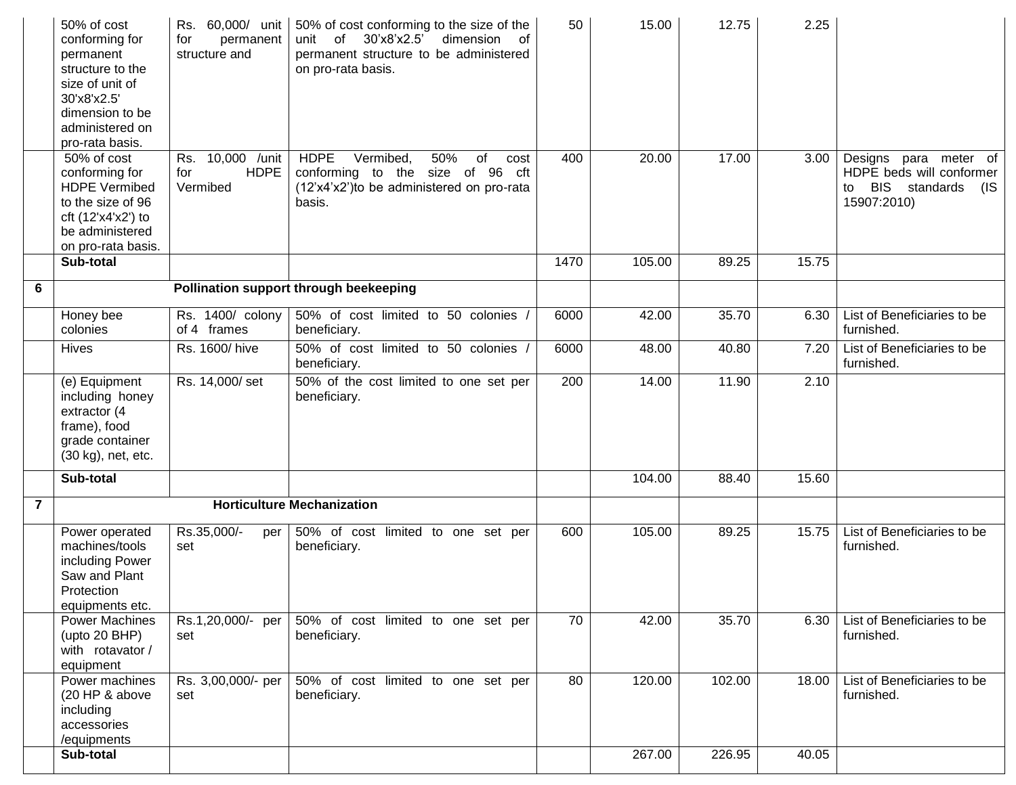|                | 50% of cost<br>conforming for<br>permanent<br>structure to the<br>size of unit of<br>30'x8'x2.5'<br>dimension to be<br>administered on<br>pro-rata basis. | Rs. 60,000/ unit<br>permanent<br>for<br>structure and | 50% of cost conforming to the size of the<br>30'x8'x2.5'<br>dimension of<br>unit of<br>permanent structure to be administered<br>on pro-rata basis. | 50   | 15.00  | 12.75  | 2.25  |                                                                                                |
|----------------|-----------------------------------------------------------------------------------------------------------------------------------------------------------|-------------------------------------------------------|-----------------------------------------------------------------------------------------------------------------------------------------------------|------|--------|--------|-------|------------------------------------------------------------------------------------------------|
|                | 50% of cost<br>conforming for<br><b>HDPE Vermibed</b><br>to the size of 96<br>cft $(12'x4'x2')$ to<br>be administered<br>on pro-rata basis.               | Rs. 10,000 /unit<br><b>HDPE</b><br>for<br>Vermibed    | <b>HDPE</b><br>50%<br>Vermibed,<br>of<br>cost<br>conforming to the size of 96 cft<br>(12'x4'x2')to be administered on pro-rata<br>basis.            | 400  | 20.00  | 17.00  | 3.00  | Designs para meter of<br>HDPE beds will conformer<br>BIS standards<br>(IS<br>to<br>15907:2010) |
|                | Sub-total                                                                                                                                                 |                                                       |                                                                                                                                                     | 1470 | 105.00 | 89.25  | 15.75 |                                                                                                |
| 6              |                                                                                                                                                           |                                                       | Pollination support through beekeeping                                                                                                              |      |        |        |       |                                                                                                |
|                | Honey bee<br>colonies                                                                                                                                     | Rs. 1400/ colony<br>of 4 frames                       | 50% of cost limited to 50 colonies /<br>beneficiary.                                                                                                | 6000 | 42.00  | 35.70  | 6.30  | List of Beneficiaries to be<br>furnished.                                                      |
|                | Hives                                                                                                                                                     | Rs. 1600/ hive                                        | 50% of cost limited to 50 colonies<br>beneficiary.                                                                                                  | 6000 | 48.00  | 40.80  | 7.20  | List of Beneficiaries to be<br>furnished.                                                      |
|                | (e) Equipment<br>including honey<br>extractor (4<br>frame), food<br>grade container<br>(30 kg), net, etc.                                                 | Rs. 14,000/ set                                       | 50% of the cost limited to one set per<br>beneficiary.                                                                                              | 200  | 14.00  | 11.90  | 2.10  |                                                                                                |
|                | Sub-total                                                                                                                                                 |                                                       |                                                                                                                                                     |      | 104.00 | 88.40  | 15.60 |                                                                                                |
| $\overline{7}$ |                                                                                                                                                           |                                                       | <b>Horticulture Mechanization</b>                                                                                                                   |      |        |        |       |                                                                                                |
|                | Power operated<br>machines/tools<br>including Power<br>Saw and Plant<br>Protection<br>equipments etc.                                                     | Rs.35,000/-<br>per<br>set                             | 50% of cost limited to one set per<br>beneficiary.                                                                                                  | 600  | 105.00 | 89.25  | 15.75 | List of Beneficiaries to be<br>furnished.                                                      |
|                | <b>Power Machines</b><br>(upto 20 BHP)<br>with rotavator /<br>equipment                                                                                   | Rs.1,20,000/- per<br>set                              | 50% of cost limited to one set per<br>beneficiary.                                                                                                  | 70   | 42.00  | 35.70  | 6.30  | List of Beneficiaries to be<br>furnished.                                                      |
|                | Power machines<br>(20 HP & above<br>including<br>accessories<br>/equipments                                                                               | Rs. 3,00,000/- per<br>set                             | 50% of cost limited to one set per<br>beneficiary.                                                                                                  | 80   | 120.00 | 102.00 | 18.00 | List of Beneficiaries to be<br>furnished.                                                      |
|                | Sub-total                                                                                                                                                 |                                                       |                                                                                                                                                     |      | 267.00 | 226.95 | 40.05 |                                                                                                |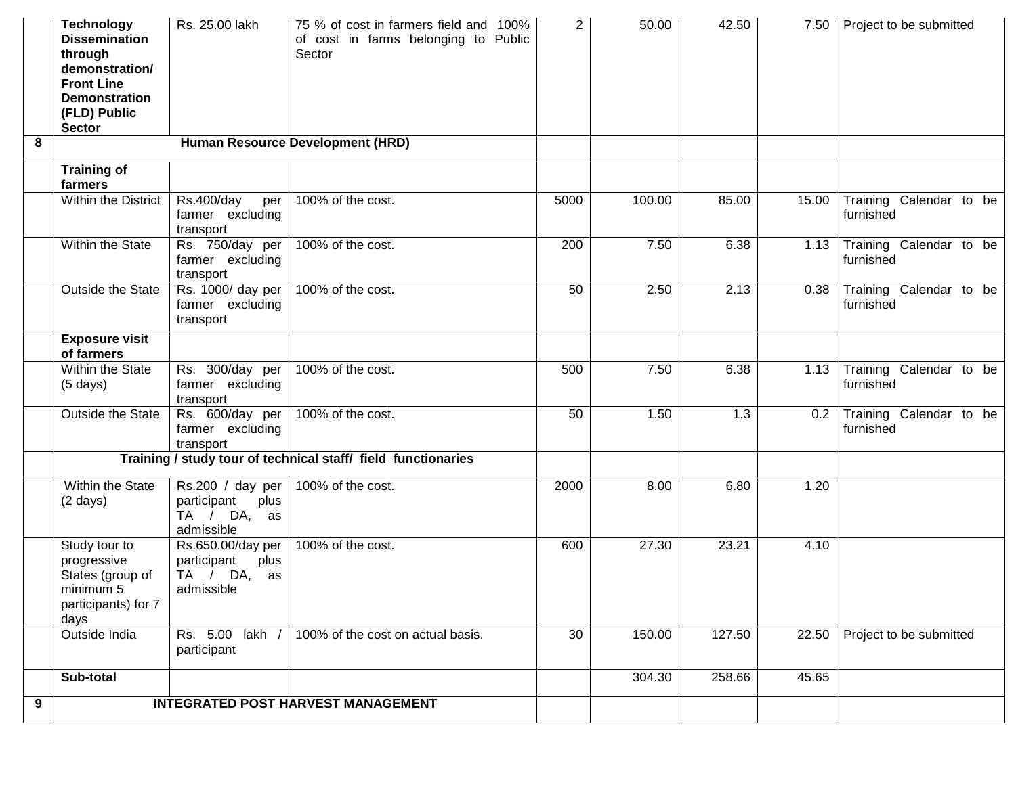|   | <b>Technology</b><br><b>Dissemination</b><br>through<br>demonstration/<br><b>Front Line</b><br><b>Demonstration</b><br>(FLD) Public<br><b>Sector</b> | Rs. 25.00 lakh                                                        | 75 % of cost in farmers field and 100%<br>of cost in farms belonging to Public<br>Sector | $\overline{2}$ | 50.00  | 42.50  | 7.50               | Project to be submitted              |
|---|------------------------------------------------------------------------------------------------------------------------------------------------------|-----------------------------------------------------------------------|------------------------------------------------------------------------------------------|----------------|--------|--------|--------------------|--------------------------------------|
| 8 |                                                                                                                                                      |                                                                       | Human Resource Development (HRD)                                                         |                |        |        |                    |                                      |
|   | <b>Training of</b><br>farmers                                                                                                                        |                                                                       |                                                                                          |                |        |        |                    |                                      |
|   | Within the District                                                                                                                                  | Rs.400/day<br>per<br>farmer excluding<br>transport                    | 100% of the cost.                                                                        | 5000           | 100.00 | 85.00  | $\overline{15.00}$ | Training Calendar to be<br>furnished |
|   | Within the State                                                                                                                                     | Rs. 750/day per<br>farmer excluding<br>transport                      | 100% of the cost.                                                                        | 200            | 7.50   | 6.38   | 1.13               | Training Calendar to be<br>furnished |
|   | Outside the State                                                                                                                                    | Rs. 1000/ day per<br>farmer excluding<br>transport                    | 100% of the cost.                                                                        | 50             | 2.50   | 2.13   | 0.38               | Training Calendar to be<br>furnished |
|   | <b>Exposure visit</b><br>of farmers                                                                                                                  |                                                                       |                                                                                          |                |        |        |                    |                                      |
|   | Within the State<br>$(5 \text{ days})$                                                                                                               | Rs. 300/day per<br>farmer excluding<br>transport                      | 100% of the cost.                                                                        | 500            | 7.50   | 6.38   | 1.13               | Training Calendar to be<br>furnished |
|   | Outside the State                                                                                                                                    | Rs. 600/day per<br>farmer excluding<br>transport                      | 100% of the cost.                                                                        | 50             | 1.50   | 1.3    | 0.2                | Training Calendar to be<br>furnished |
|   |                                                                                                                                                      |                                                                       | Training / study tour of technical staff/ field functionaries                            |                |        |        |                    |                                      |
|   | Within the State<br>$(2 \text{ days})$                                                                                                               | Rs.200 / day per<br>participant plus<br>TA / DA, as<br>admissible     | 100% of the cost.                                                                        | 2000           | 8.00   | 6.80   | 1.20               |                                      |
|   | Study tour to<br>progressive<br>States (group of<br>minimum 5<br>participants) for 7<br>days                                                         | Rs.650.00/day per<br>participant<br>plus<br>TA / DA, as<br>admissible | 100% of the cost.                                                                        | 600            | 27.30  | 23.21  | 4.10               |                                      |
|   | <b>Outside India</b>                                                                                                                                 | Rs. 5.00 lakh<br>participant                                          | 100% of the cost on actual basis.                                                        | 30             | 150.00 | 127.50 | 22.50              | Project to be submitted              |
|   | Sub-total                                                                                                                                            |                                                                       |                                                                                          |                | 304.30 | 258.66 | 45.65              |                                      |
| 9 |                                                                                                                                                      |                                                                       | <b>INTEGRATED POST HARVEST MANAGEMENT</b>                                                |                |        |        |                    |                                      |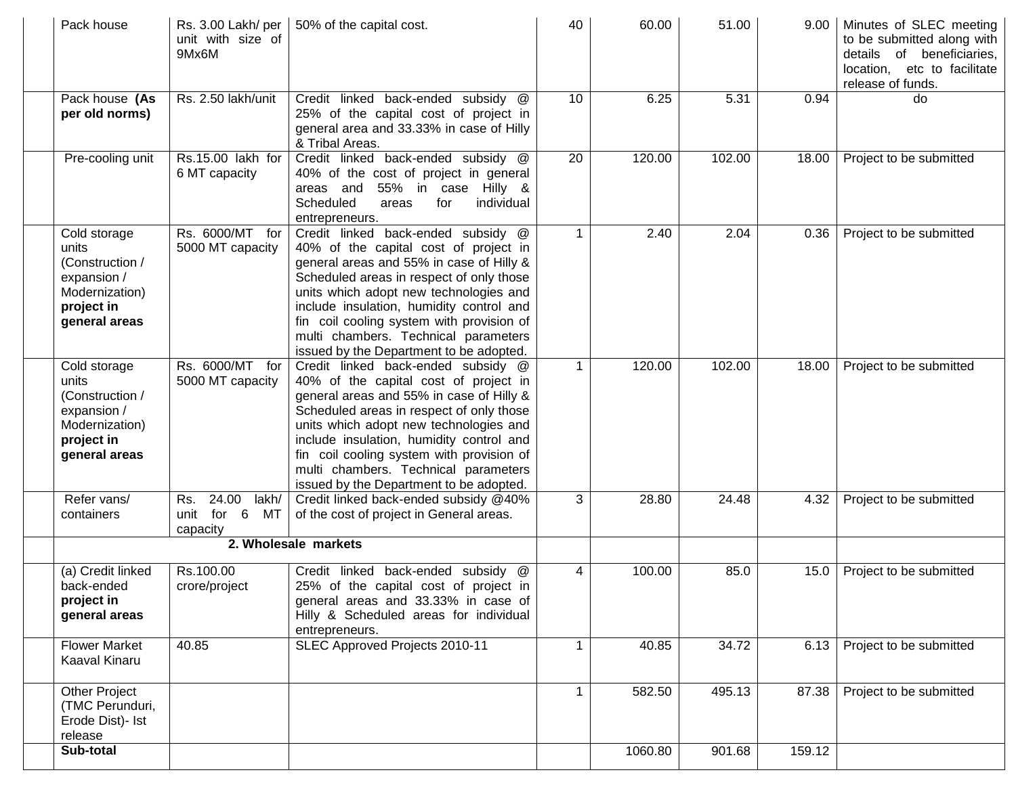| Pack house                                                                                               | Rs. 3.00 Lakh/ per<br>unit with size of<br>9Mx6M      | 50% of the capital cost.                                                                                                                                                                                                                                                                                                                                                                  | 40           | 60.00   | 51.00  | 9.00   | Minutes of SLEC meeting<br>to be submitted along with<br>details of beneficiaries,<br>location, etc to facilitate<br>release of funds. |
|----------------------------------------------------------------------------------------------------------|-------------------------------------------------------|-------------------------------------------------------------------------------------------------------------------------------------------------------------------------------------------------------------------------------------------------------------------------------------------------------------------------------------------------------------------------------------------|--------------|---------|--------|--------|----------------------------------------------------------------------------------------------------------------------------------------|
| Pack house (As<br>per old norms)                                                                         | Rs. 2.50 lakh/unit                                    | Credit linked back-ended subsidy @<br>25% of the capital cost of project in<br>general area and 33.33% in case of Hilly<br>& Tribal Areas.                                                                                                                                                                                                                                                | 10           | 6.25    | 5.31   | 0.94   | do                                                                                                                                     |
| Pre-cooling unit                                                                                         | Rs.15.00 lakh for<br>6 MT capacity                    | Credit linked back-ended subsidy @<br>40% of the cost of project in general<br>areas and 55% in case Hilly &<br>individual<br>Scheduled<br>areas<br>for<br>entrepreneurs.                                                                                                                                                                                                                 | 20           | 120.00  | 102.00 | 18.00  | Project to be submitted                                                                                                                |
| Cold storage<br>units<br>(Construction /<br>expansion /<br>Modernization)<br>project in<br>general areas | Rs. 6000/MT for<br>5000 MT capacity                   | Credit linked back-ended subsidy @<br>40% of the capital cost of project in<br>general areas and 55% in case of Hilly &<br>Scheduled areas in respect of only those<br>units which adopt new technologies and<br>include insulation, humidity control and<br>fin coil cooling system with provision of<br>multi chambers. Technical parameters<br>issued by the Department to be adopted. | 1            | 2.40    | 2.04   | 0.36   | Project to be submitted                                                                                                                |
| Cold storage<br>units<br>(Construction /<br>expansion /<br>Modernization)<br>project in<br>general areas | Rs. 6000/MT for<br>5000 MT capacity                   | Credit linked back-ended subsidy @<br>40% of the capital cost of project in<br>general areas and 55% in case of Hilly &<br>Scheduled areas in respect of only those<br>units which adopt new technologies and<br>include insulation, humidity control and<br>fin coil cooling system with provision of<br>multi chambers. Technical parameters<br>issued by the Department to be adopted. | $\mathbf 1$  | 120.00  | 102.00 | 18.00  | Project to be submitted                                                                                                                |
| Refer vans/<br>containers                                                                                | 24.00<br>lakh/<br>Rs.<br>unit for 6<br>MT<br>capacity | Credit linked back-ended subsidy @40%<br>of the cost of project in General areas.                                                                                                                                                                                                                                                                                                         | 3            | 28.80   | 24.48  | 4.32   | Project to be submitted                                                                                                                |
|                                                                                                          |                                                       | 2. Wholesale markets                                                                                                                                                                                                                                                                                                                                                                      |              |         |        |        |                                                                                                                                        |
| (a) Credit linked<br>back-ended<br>project in<br>general areas                                           | Rs.100.00<br>crore/project                            | Credit linked back-ended subsidy @<br>25% of the capital cost of project in<br>general areas and 33.33% in case of<br>Hilly & Scheduled areas for individual<br>entrepreneurs.                                                                                                                                                                                                            | 4            | 100.00  | 85.0   | 15.0   | Project to be submitted                                                                                                                |
| <b>Flower Market</b><br>Kaaval Kinaru                                                                    | 40.85                                                 | SLEC Approved Projects 2010-11                                                                                                                                                                                                                                                                                                                                                            | $\mathbf{1}$ | 40.85   | 34.72  | 6.13   | Project to be submitted                                                                                                                |
| Other Project<br>(TMC Perunduri,<br>Erode Dist)- Ist<br>release                                          |                                                       |                                                                                                                                                                                                                                                                                                                                                                                           | $\mathbf{1}$ | 582.50  | 495.13 | 87.38  | Project to be submitted                                                                                                                |
| Sub-total                                                                                                |                                                       |                                                                                                                                                                                                                                                                                                                                                                                           |              | 1060.80 | 901.68 | 159.12 |                                                                                                                                        |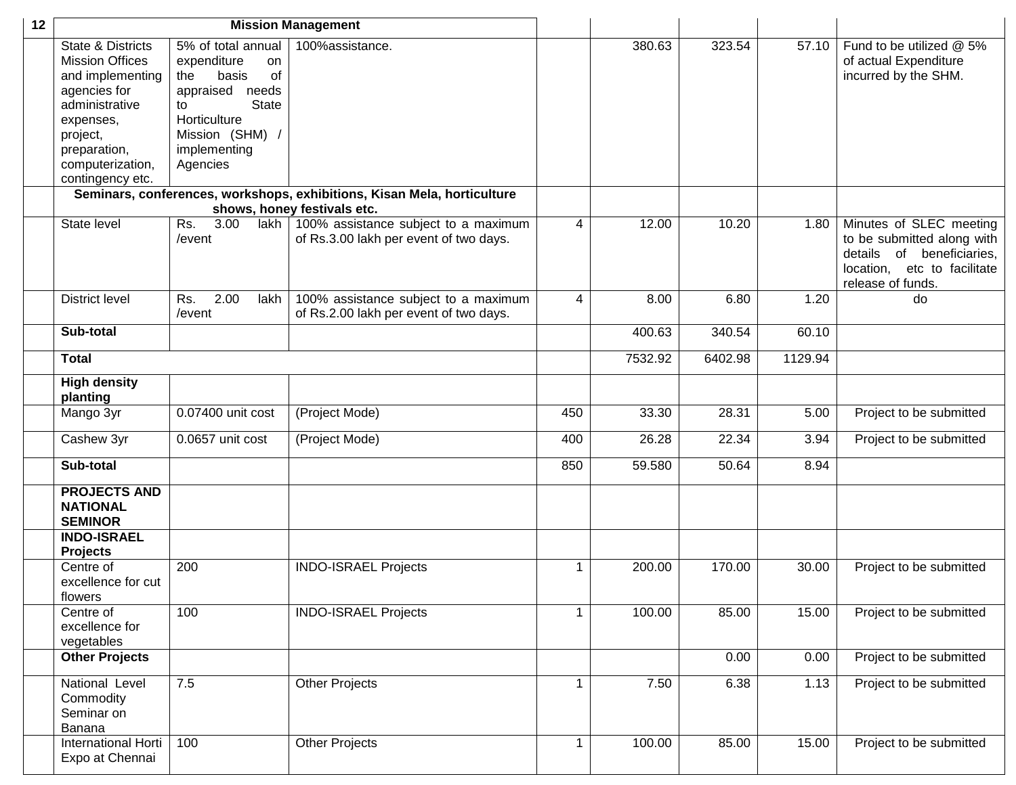| 12 |                                                                                                                                                                                    |                                                                                                                                                                     | <b>Mission Management</b>                                                                              |              |         |         |         |                                                                                                                                           |
|----|------------------------------------------------------------------------------------------------------------------------------------------------------------------------------------|---------------------------------------------------------------------------------------------------------------------------------------------------------------------|--------------------------------------------------------------------------------------------------------|--------------|---------|---------|---------|-------------------------------------------------------------------------------------------------------------------------------------------|
|    | State & Districts<br><b>Mission Offices</b><br>and implementing<br>agencies for<br>administrative<br>expenses,<br>project,<br>preparation,<br>computerization,<br>contingency etc. | 5% of total annual<br>expenditure<br>on<br>of<br>basis<br>the<br>appraised needs<br><b>State</b><br>to<br>Horticulture<br>Mission (SHM)<br>implementing<br>Agencies | 100%assistance.                                                                                        |              | 380.63  | 323.54  | 57.10   | Fund to be utilized @ 5%<br>of actual Expenditure<br>incurred by the SHM.                                                                 |
|    |                                                                                                                                                                                    |                                                                                                                                                                     | Seminars, conferences, workshops, exhibitions, Kisan Mela, horticulture<br>shows, honey festivals etc. |              |         |         |         |                                                                                                                                           |
|    | State level                                                                                                                                                                        | Rs.<br>3.00<br>lakh<br>/event                                                                                                                                       | 100% assistance subject to a maximum<br>of Rs.3.00 lakh per event of two days.                         | 4            | 12.00   | 10.20   | 1.80    | Minutes of SLEC meeting<br>to be submitted along with<br>details<br>of beneficiaries,<br>location, etc to facilitate<br>release of funds. |
|    | <b>District level</b>                                                                                                                                                              | 2.00<br>lakh<br>Rs.<br>/event                                                                                                                                       | 100% assistance subject to a maximum<br>of Rs.2.00 lakh per event of two days.                         | 4            | 8.00    | 6.80    | 1.20    | do                                                                                                                                        |
|    | Sub-total                                                                                                                                                                          |                                                                                                                                                                     |                                                                                                        |              | 400.63  | 340.54  | 60.10   |                                                                                                                                           |
|    | <b>Total</b>                                                                                                                                                                       |                                                                                                                                                                     |                                                                                                        |              | 7532.92 | 6402.98 | 1129.94 |                                                                                                                                           |
|    | <b>High density</b><br>planting                                                                                                                                                    |                                                                                                                                                                     |                                                                                                        |              |         |         |         |                                                                                                                                           |
|    | Mango 3yr                                                                                                                                                                          | 0.07400 unit cost                                                                                                                                                   | (Project Mode)                                                                                         | 450          | 33.30   | 28.31   | 5.00    | Project to be submitted                                                                                                                   |
|    | Cashew 3yr                                                                                                                                                                         | 0.0657 unit cost                                                                                                                                                    | (Project Mode)                                                                                         | 400          | 26.28   | 22.34   | 3.94    | Project to be submitted                                                                                                                   |
|    | Sub-total                                                                                                                                                                          |                                                                                                                                                                     |                                                                                                        | 850          | 59.580  | 50.64   | 8.94    |                                                                                                                                           |
|    | <b>PROJECTS AND</b><br><b>NATIONAL</b><br><b>SEMINOR</b><br><b>INDO-ISRAEL</b>                                                                                                     |                                                                                                                                                                     |                                                                                                        |              |         |         |         |                                                                                                                                           |
|    | <b>Projects</b>                                                                                                                                                                    |                                                                                                                                                                     |                                                                                                        |              |         |         |         |                                                                                                                                           |
|    | Centre of<br>excellence for cut<br>flowers                                                                                                                                         | 200                                                                                                                                                                 | <b>INDO-ISRAEL Projects</b>                                                                            | 1            | 200.00  | 170.00  | 30.00   | Project to be submitted                                                                                                                   |
|    | Centre of<br>excellence for<br>vegetables                                                                                                                                          | 100                                                                                                                                                                 | <b>INDO-ISRAEL Projects</b>                                                                            | $\mathbf{1}$ | 100.00  | 85.00   | 15.00   | Project to be submitted                                                                                                                   |
|    | <b>Other Projects</b>                                                                                                                                                              |                                                                                                                                                                     |                                                                                                        |              |         | 0.00    | 0.00    | Project to be submitted                                                                                                                   |
|    | National Level<br>Commodity<br>Seminar on<br>Banana                                                                                                                                | 7.5                                                                                                                                                                 | <b>Other Projects</b>                                                                                  | $\mathbf{1}$ | 7.50    | 6.38    | 1.13    | Project to be submitted                                                                                                                   |
|    | International Horti<br>Expo at Chennai                                                                                                                                             | 100                                                                                                                                                                 | <b>Other Projects</b>                                                                                  | $\mathbf{1}$ | 100.00  | 85.00   | 15.00   | Project to be submitted                                                                                                                   |